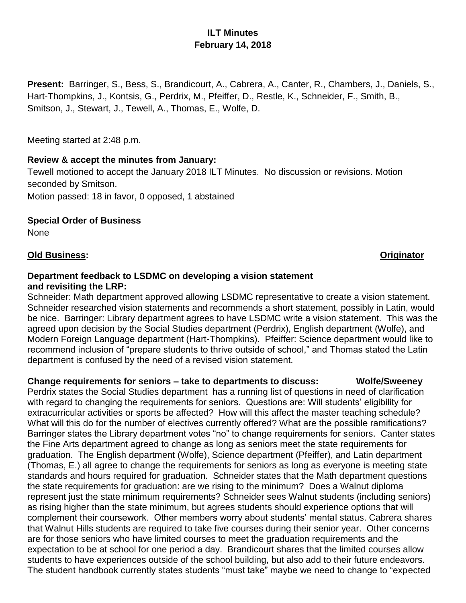## **ILT Minutes February 14, 2018**

**Present:** Barringer, S., Bess, S., Brandicourt, A., Cabrera, A., Canter, R., Chambers, J., Daniels, S., Hart-Thompkins, J., Kontsis, G., Perdrix, M., Pfeiffer, D., Restle, K., Schneider, F., Smith, B., Smitson, J., Stewart, J., Tewell, A., Thomas, E., Wolfe, D.

Meeting started at 2:48 p.m.

### **Review & accept the minutes from January:**

Tewell motioned to accept the January 2018 ILT Minutes. No discussion or revisions. Motion seconded by Smitson.

Motion passed: 18 in favor, 0 opposed, 1 abstained

### **Special Order of Business**

None

### **Old Business: Originator**

### **Department feedback to LSDMC on developing a vision statement and revisiting the LRP:**

Schneider: Math department approved allowing LSDMC representative to create a vision statement. Schneider researched vision statements and recommends a short statement, possibly in Latin, would be nice. Barringer: Library department agrees to have LSDMC write a vision statement. This was the agreed upon decision by the Social Studies department (Perdrix), English department (Wolfe), and Modern Foreign Language department (Hart-Thompkins). Pfeiffer: Science department would like to recommend inclusion of "prepare students to thrive outside of school," and Thomas stated the Latin department is confused by the need of a revised vision statement.

### **Change requirements for seniors – take to departments to discuss: Wolfe/Sweeney**

Perdrix states the Social Studies department has a running list of questions in need of clarification with regard to changing the requirements for seniors. Questions are: Will students' eligibility for extracurricular activities or sports be affected? How will this affect the master teaching schedule? What will this do for the number of electives currently offered? What are the possible ramifications? Barringer states the Library department votes "no" to change requirements for seniors. Canter states the Fine Arts department agreed to change as long as seniors meet the state requirements for graduation. The English department (Wolfe), Science department (Pfeiffer), and Latin department (Thomas, E.) all agree to change the requirements for seniors as long as everyone is meeting state standards and hours required for graduation. Schneider states that the Math department questions the state requirements for graduation: are we rising to the minimum? Does a Walnut diploma represent just the state minimum requirements? Schneider sees Walnut students (including seniors) as rising higher than the state minimum, but agrees students should experience options that will complement their coursework. Other members worry about students' mental status. Cabrera shares that Walnut Hills students are required to take five courses during their senior year. Other concerns are for those seniors who have limited courses to meet the graduation requirements and the expectation to be at school for one period a day. Brandicourt shares that the limited courses allow students to have experiences outside of the school building, but also add to their future endeavors. The student handbook currently states students "must take" maybe we need to change to "expected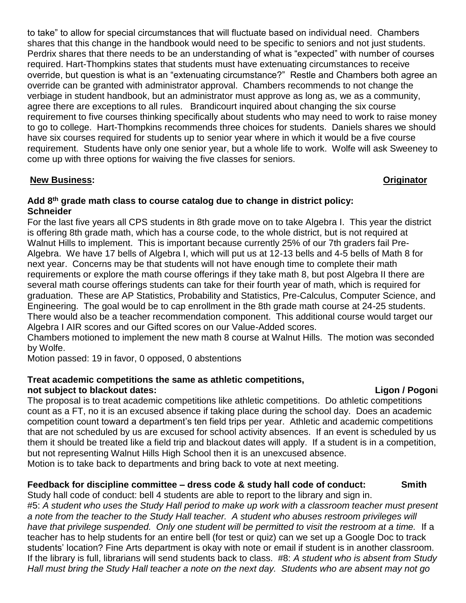to take" to allow for special circumstances that will fluctuate based on individual need. Chambers shares that this change in the handbook would need to be specific to seniors and not just students. Perdrix shares that there needs to be an understanding of what is "expected" with number of courses required. Hart-Thompkins states that students must have extenuating circumstances to receive override, but question is what is an "extenuating circumstance?" Restle and Chambers both agree an override can be granted with administrator approval. Chambers recommends to not change the verbiage in student handbook, but an administrator must approve as long as, we as a community, agree there are exceptions to all rules. Brandicourt inquired about changing the six course requirement to five courses thinking specifically about students who may need to work to raise money to go to college. Hart-Thompkins recommends three choices for students. Daniels shares we should have six courses required for students up to senior year where in which it would be a five course requirement. Students have only one senior year, but a whole life to work. Wolfe will ask Sweeney to come up with three options for waiving the five classes for seniors.

### **New Business: Originator**

### **Add 8th grade math class to course catalog due to change in district policy: Schneider**

For the last five years all CPS students in 8th grade move on to take Algebra I. This year the district is offering 8th grade math, which has a course code, to the whole district, but is not required at Walnut Hills to implement. This is important because currently 25% of our 7th graders fail Pre-Algebra. We have 17 bells of Algebra I, which will put us at 12-13 bells and 4-5 bells of Math 8 for next year. Concerns may be that students will not have enough time to complete their math requirements or explore the math course offerings if they take math 8, but post Algebra II there are several math course offerings students can take for their fourth year of math, which is required for graduation. These are AP Statistics, Probability and Statistics, Pre-Calculus, Computer Science, and Engineering. The goal would be to cap enrollment in the 8th grade math course at 24-25 students. There would also be a teacher recommendation component. This additional course would target our Algebra I AIR scores and our Gifted scores on our Value-Added scores.

Chambers motioned to implement the new math 8 course at Walnut Hills. The motion was seconded by Wolfe.

Motion passed: 19 in favor, 0 opposed, 0 abstentions

# **Treat academic competitions the same as athletic competitions,**

### **not** subject to blackout dates: Ligon / Pogoni

The proposal is to treat academic competitions like athletic competitions. Do athletic competitions count as a FT, no it is an excused absence if taking place during the school day. Does an academic competition count toward a department's ten field trips per year. Athletic and academic competitions that are not scheduled by us are excused for school activity absences. If an event is scheduled by us them it should be treated like a field trip and blackout dates will apply. If a student is in a competition, but not representing Walnut Hills High School then it is an unexcused absence.

Motion is to take back to departments and bring back to vote at next meeting.

# **Feedback for discipline committee – dress code & study hall code of conduct: Smith**

Study hall code of conduct: bell 4 students are able to report to the library and sign in. #5: *A student who uses the Study Hall period to make up work with a classroom teacher must present a note from the teacher to the Study Hall teacher. A student who abuses restroom privileges will have that privilege suspended. Only one student will be permitted to visit the restroom at a time.* If a teacher has to help students for an entire bell (for test or quiz) can we set up a Google Doc to track students' location? Fine Arts department is okay with note or email if student is in another classroom. If the library is full, librarians will send students back to class. #8: *A student who is absent from Study Hall must bring the Study Hall teacher a note on the next day. Students who are absent may not go*